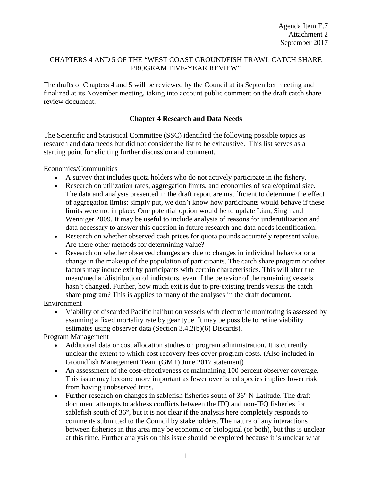# CHAPTERS 4 AND 5 OF THE "WEST COAST GROUNDFISH TRAWL CATCH SHARE PROGRAM FIVE-YEAR REVIEW"

The drafts of Chapters 4 and 5 will be reviewed by the Council at its September meeting and finalized at its November meeting, taking into account public comment on the draft catch share review document.

# **Chapter 4 Research and Data Needs**

The Scientific and Statistical Committee (SSC) identified the following possible topics as research and data needs but did not consider the list to be exhaustive. This list serves as a starting point for eliciting further discussion and comment.

Economics/Communities

- A survey that includes quota holders who do not actively participate in the fishery.
- Research on utilization rates, aggregation limits, and economies of scale/optimal size. The data and analysis presented in the draft report are insufficient to determine the effect of aggregation limits: simply put, we don't know how participants would behave if these limits were not in place. One potential option would be to update Lian, Singh and Wenniger 2009. It may be useful to include analysis of reasons for underutilization and data necessary to answer this question in future research and data needs identification.
- Research on whether observed cash prices for quota pounds accurately represent value. Are there other methods for determining value?
- Research on whether observed changes are due to changes in individual behavior or a change in the makeup of the population of participants. The catch share program or other factors may induce exit by participants with certain characteristics. This will alter the mean/median/distribution of indicators, even if the behavior of the remaining vessels hasn't changed. Further, how much exit is due to pre-existing trends versus the catch share program? This is applies to many of the analyses in the draft document.

Environment

• Viability of discarded Pacific halibut on vessels with electronic monitoring is assessed by assuming a fixed mortality rate by gear type. It may be possible to refine viability estimates using observer data (Section 3.4.2(b)(6) Discards).

Program Management

- Additional data or cost allocation studies on program administration. It is currently unclear the extent to which cost recovery fees cover program costs. (Also included in Groundfish Management Team (GMT) June 2017 statement)
- An assessment of the cost-effectiveness of maintaining 100 percent observer coverage. This issue may become more important as fewer overfished species implies lower risk from having unobserved trips.
- Further research on changes in sable fisheries south of 36° N Latitude. The draft document attempts to address conflicts between the IFQ and non-IFQ fisheries for sablefish south of 36°, but it is not clear if the analysis here completely responds to comments submitted to the Council by stakeholders. The nature of any interactions between fisheries in this area may be economic or biological (or both), but this is unclear at this time. Further analysis on this issue should be explored because it is unclear what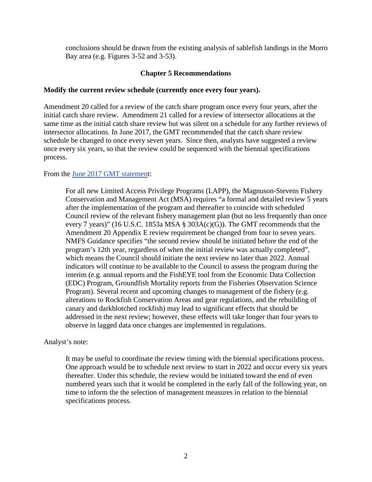conclusions should be drawn from the existing analysis of sablefish landings in the Morro Bay area (e.g. Figures 3-52 and 3-53).

# **Chapter 5 Recommendations**

### **Modify the current review schedule (currently once every four years).**

Amendment 20 called for a review of the catch share program once every four years, after the initial catch share review. Amendment 21 called for a review of intersector allocations at the same time as the initial catch share review but was silent on a schedule for any further reviews of intersector allocations. In June 2017, the GMT recommended that the catch share review schedule be changed to once every seven years. Since then, analysts have suggested a review once every six years, so that the review could be sequenced with the biennial specifications process.

# From the [June 2017 GMT statement](http://www.pcouncil.org/wp-content/uploads/2017/06/F2c_Sup_GMT_Rpt_Jun2017BB.pdf):

For all new Limited Access Privilege Programs (LAPP), the Magnuson-Stevens Fishery Conservation and Management Act (MSA) requires "a formal and detailed review 5 years after the implementation of the program and thereafter to coincide with scheduled Council review of the relevant fishery management plan (but no less frequently than once every 7 years)" (16 U.S.C. 1853a MSA § 303A(c)(G)). The GMT recommends that the Amendment 20 Appendix E review requirement be changed from four to seven years. NMFS Guidance specifies "the second review should be initiated before the end of the program's 12th year, regardless of when the initial review was actually completed", which means the Council should initiate the next review no later than 2022. Annual indicators will continue to be available to the Council to assess the program during the interim (e.g. annual reports and the FishEYE tool from the Economic Data Collection (EDC) Program, Groundfish Mortality reports from the Fisheries Observation Science Program). Several recent and upcoming changes to management of the fishery (e.g. alterations to Rockfish Conservation Areas and gear regulations, and the rebuilding of canary and darkblotched rockfish) may lead to significant effects that should be addressed in the next review; however, these effects will take longer than four years to observe in lagged data once changes are implemented in regulations.

#### Analyst's note:

It may be useful to coordinate the review timing with the biennial specifications process. One approach would be to schedule next review to start in 2022 and occur every six years thereafter. Under this schedule, the review would be initiated toward the end of even numbered years such that it would be completed in the early fall of the following year, on time to inform the the selection of management measures in relation to the biennial specifications process.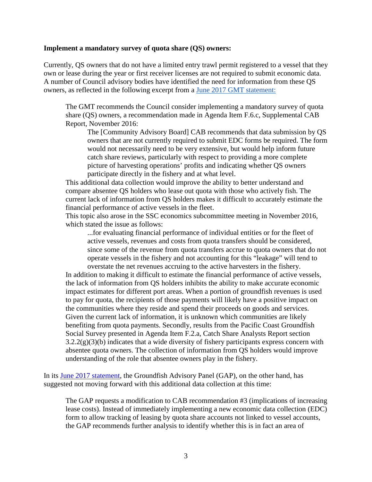#### **Implement a mandatory survey of quota share (QS) owners:**

Currently, QS owners that do not have a limited entry trawl permit registered to a vessel that they own or lease during the year or first receiver licenses are not required to submit economic data. A number of Council advisory bodies have identified the need for information from these QS owners, as reflected in the following excerpt from a [June 2017 GMT statement:](http://www.pcouncil.org/wp-content/uploads/2017/06/F2c_Sup_GMT_Rpt_Jun2017BB.pdf)

The GMT recommends the Council consider implementing a mandatory survey of quota share (QS) owners, a recommendation made in Agenda Item F.6.c, Supplemental CAB Report, November 2016:

The [Community Advisory Board] CAB recommends that data submission by QS owners that are not currently required to submit EDC forms be required. The form would not necessarily need to be very extensive, but would help inform future catch share reviews, particularly with respect to providing a more complete picture of harvesting operations' profits and indicating whether QS owners participate directly in the fishery and at what level.

This additional data collection would improve the ability to better understand and compare absentee QS holders who lease out quota with those who actively fish. The current lack of information from QS holders makes it difficult to accurately estimate the financial performance of active vessels in the fleet.

This topic also arose in the SSC economics subcommittee meeting in November 2016, which stated the issue as follows:

...for evaluating financial performance of individual entities or for the fleet of active vessels, revenues and costs from quota transfers should be considered, since some of the revenue from quota transfers accrue to quota owners that do not operate vessels in the fishery and not accounting for this "leakage" will tend to overstate the net revenues accruing to the active harvesters in the fishery.

In addition to making it difficult to estimate the financial performance of active vessels, the lack of information from QS holders inhibits the ability to make accurate economic impact estimates for different port areas. When a portion of groundfish revenues is used to pay for quota, the recipients of those payments will likely have a positive impact on the communities where they reside and spend their proceeds on goods and services. Given the current lack of information, it is unknown which communities are likely benefiting from quota payments. Secondly, results from the Pacific Coast Groundfish Social Survey presented in Agenda Item F.2.a, Catch Share Analysts Report section  $3.2.2(g)(3)(b)$  indicates that a wide diversity of fishery participants express concern with absentee quota owners. The collection of information from QS holders would improve understanding of the role that absentee owners play in the fishery.

In its [June 2017 statement,](http://www.pcouncil.org/wp-content/uploads/2017/06/F2c_Sup_GAP_Rpt_Jun2017BB.pdf) the Groundfish Advisory Panel (GAP), on the other hand, has suggested not moving forward with this additional data collection at this time:

The GAP requests a modification to CAB recommendation #3 (implications of increasing lease costs). Instead of immediately implementing a new economic data collection (EDC) form to allow tracking of leasing by quota share accounts not linked to vessel accounts, the GAP recommends further analysis to identify whether this is in fact an area of